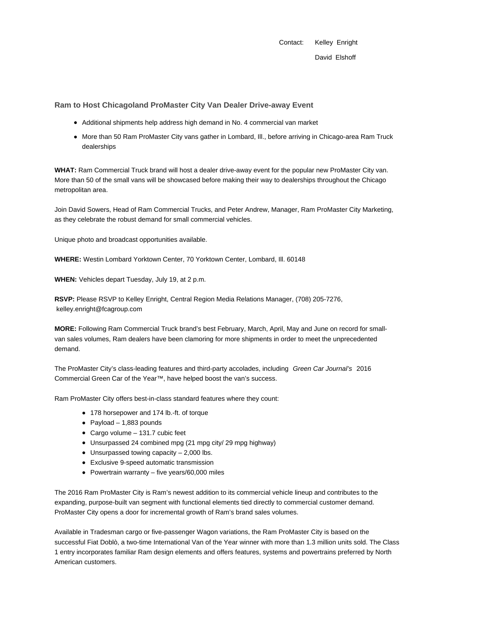Contact: Kelley Enright David Elshoff

**Ram to Host Chicagoland ProMaster City Van Dealer Drive-away Event**

- Additional shipments help address high demand in No. 4 commercial van market
- More than 50 Ram ProMaster City vans gather in Lombard, Ill., before arriving in Chicago-area Ram Truck dealerships

**WHAT:** Ram Commercial Truck brand will host a dealer drive-away event for the popular new ProMaster City van. More than 50 of the small vans will be showcased before making their way to dealerships throughout the Chicago metropolitan area.

Join David Sowers, Head of Ram Commercial Trucks, and Peter Andrew, Manager, Ram ProMaster City Marketing, as they celebrate the robust demand for small commercial vehicles.

Unique photo and broadcast opportunities available.

**WHERE:** Westin Lombard Yorktown Center, 70 Yorktown Center, Lombard, Ill. 60148

**WHEN:** Vehicles depart Tuesday, July 19, at 2 p.m.

**RSVP:** Please RSVP to Kelley Enright, Central Region Media Relations Manager, (708) 205-7276, kelley.enright@fcagroup.com

**MORE:** Following Ram Commercial Truck brand's best February, March, April, May and June on record for smallvan sales volumes, Ram dealers have been clamoring for more shipments in order to meet the unprecedented demand.

The ProMaster City's class-leading features and third-party accolades, including Green Car Journal's 2016 Commercial Green Car of the Year™, have helped boost the van's success.

Ram ProMaster City offers best-in-class standard features where they count:

- 178 horsepower and 174 lb.-ft. of torque
- Payload  $1,883$  pounds
- Cargo volume 131.7 cubic feet
- Unsurpassed 24 combined mpg (21 mpg city/ 29 mpg highway)
- $\bullet$  Unsurpassed towing capacity  $-2,000$  lbs.
- Exclusive 9-speed automatic transmission
- Powertrain warranty five years/60,000 miles

The 2016 Ram ProMaster City is Ram's newest addition to its commercial vehicle lineup and contributes to the expanding, purpose-built van segment with functional elements tied directly to commercial customer demand. ProMaster City opens a door for incremental growth of Ram's brand sales volumes.

Available in Tradesman cargo or five-passenger Wagon variations, the Ram ProMaster City is based on the successful Fiat Doblò, a two-time International Van of the Year winner with more than 1.3 million units sold. The Class 1 entry incorporates familiar Ram design elements and offers features, systems and powertrains preferred by North American customers.